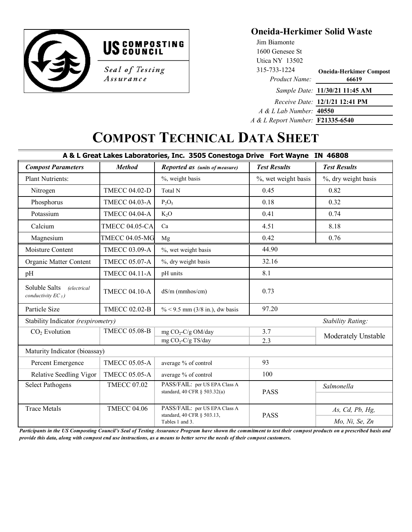



Assurance

## **Oneida-Herkimer Solid Waste**

| Jim Biamonte                            |                                       |
|-----------------------------------------|---------------------------------------|
| 1600 Genesee St                         |                                       |
| Utica NY $13502$                        |                                       |
| 315-733-1224                            | <b>Oneida-Herkimer Compost</b>        |
| Product Name:                           | 66619                                 |
|                                         | Sample Date: 11/30/21 11:45 AM        |
|                                         | <i>Receive Date:</i> 12/1/21 12:41 PM |
| A & L Lab Number: 40550                 |                                       |
| A & L Report Number: <b>F21335-6540</b> |                                       |
|                                         |                                       |

## **COMPOST TECHNICAL DATA SHEET**

| A & L Great Lakes Laboratories, Inc. 3505 Conestoga Drive Fort Wayne IN 46808 |                       |                                                                                |                     |                          |  |
|-------------------------------------------------------------------------------|-----------------------|--------------------------------------------------------------------------------|---------------------|--------------------------|--|
| <b>Compost Parameters</b>                                                     | <b>Method</b>         | Reported as (units of measure)                                                 | <b>Test Results</b> | <b>Test Results</b>      |  |
| <b>Plant Nutrients:</b>                                                       |                       | %, weight basis                                                                | %, wet weight basis | %, dry weight basis      |  |
| Nitrogen                                                                      | <b>TMECC 04.02-D</b>  | Total N                                                                        | 0.45                | 0.82                     |  |
| Phosphorus                                                                    | <b>TMECC 04.03-A</b>  | $P_2O_5$                                                                       | 0.18                | 0.32                     |  |
| Potassium                                                                     | <b>TMECC 04.04-A</b>  | K <sub>2</sub> O                                                               | 0.41                | 0.74                     |  |
| Calcium                                                                       | <b>TMECC 04.05-CA</b> | Ca                                                                             | 4.51                | 8.18                     |  |
| Magnesium                                                                     | <b>TMECC 04.05-MG</b> | Mg                                                                             | 0.42                | 0.76                     |  |
| Moisture Content                                                              | <b>TMECC 03.09-A</b>  | %, wet weight basis                                                            | 44.90               |                          |  |
| Organic Matter Content                                                        | <b>TMECC 05.07-A</b>  | %, dry weight basis                                                            | 32.16               |                          |  |
| pH                                                                            | <b>TMECC 04.11-A</b>  | pH units                                                                       | 8.1                 |                          |  |
| Soluble Salts<br><i>(electrical</i><br>conductivity $EC_5$ )                  | <b>TMECC 04.10-A</b>  | dS/m (mmhos/cm)                                                                | 0.73                |                          |  |
| Particle Size                                                                 | <b>TMECC 02.02-B</b>  | % < 9.5 mm (3/8 in.), dw basis                                                 | 97.20               |                          |  |
| Stability Indicator (respirometry)                                            |                       |                                                                                |                     | <b>Stability Rating:</b> |  |
| CO <sub>2</sub> Evolution                                                     | <b>TMECC 05.08-B</b>  | mg CO <sub>2</sub> -C/g OM/day                                                 | 3.7                 | Moderately Unstable      |  |
|                                                                               |                       | mg CO <sub>2</sub> -C/g TS/day                                                 | 2.3                 |                          |  |
| Maturity Indicator (bioassay)                                                 |                       |                                                                                |                     |                          |  |
| Percent Emergence                                                             | <b>TMECC 05.05-A</b>  | average % of control                                                           | 93                  |                          |  |
| Relative Seedling Vigor                                                       | <b>TMECC 05.05-A</b>  | average % of control                                                           | 100                 |                          |  |
| <b>Select Pathogens</b>                                                       | <b>TMECC 07.02</b>    | PASS/FAIL: per US EPA Class A<br>standard, 40 CFR § 503.32(a)                  | <b>PASS</b>         | Salmonella               |  |
| <b>Trace Metals</b>                                                           | <b>TMECC 04.06</b>    | PASS/FAIL: per US EPA Class A<br>standard, 40 CFR § 503.13,<br>Tables 1 and 3. | <b>PASS</b>         | As, Cd, Pb, Hg,          |  |
|                                                                               |                       |                                                                                |                     | Mo, Ni, Se, Zn           |  |

*Participants in the US Composting Council's Seal of Testing Assurance Program have shown the commitment to test their compost products on a prescribed basis and provide this data, along with compost end use instructions, as a means to better serve the needs of their compost customers.*